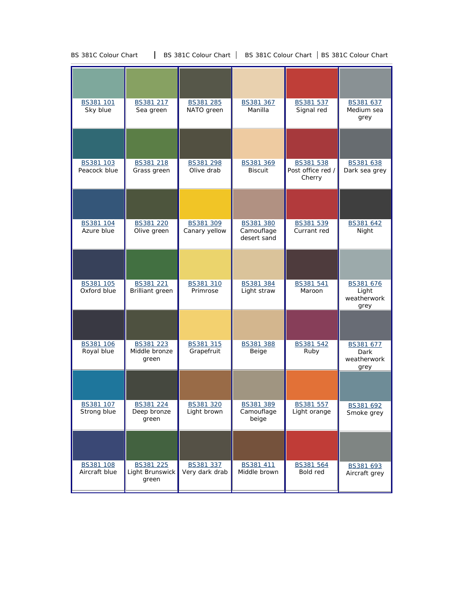|                                 |                                          |                                | BS381 367                               |                                          |                                           |
|---------------------------------|------------------------------------------|--------------------------------|-----------------------------------------|------------------------------------------|-------------------------------------------|
| BS381 101<br>Sky blue           | BS381 217<br>Sea green                   | BS381 285<br>NATO green        | Manilla                                 | BS381 537<br>Signal red                  | BS381 637<br>Medium sea<br>grey           |
|                                 |                                          |                                |                                         |                                          |                                           |
| BS381 103<br>Peacock blue       | BS381 218<br>Grass green                 | BS381 298<br>Olive drab        | BS381 369<br><b>Biscuit</b>             | BS381 538<br>Post office red /<br>Cherry | BS381 638<br>Dark sea grey                |
|                                 |                                          |                                |                                         |                                          |                                           |
| BS381 104<br>Azure blue         | BS381 220<br>Olive green                 | BS381 309<br>Canary yellow     | BS381 380<br>Camouflage<br>desert sand  | BS381 539<br>Currant red                 | BS381 642<br>Night                        |
|                                 |                                          |                                |                                         |                                          |                                           |
| BS381 105<br>Oxford blue        | BS381 221<br>Brilliant green             | BS381 310<br>Primrose          | BS381 384<br>Light straw                | BS381 541<br>Maroon                      | BS381 676<br>Light<br>weatherwork<br>grey |
|                                 |                                          |                                |                                         |                                          |                                           |
| BS381 106<br>Royal blue         | BS381 223<br>Middle bronze<br>green      | BS381 315<br>Grapefruit        | BS381 388<br>Beige                      | BS381 542<br>Ruby                        | BS381 677<br>Dark<br>weatherwork<br>grey  |
|                                 |                                          |                                |                                         |                                          |                                           |
| <u>BS381 107</u><br>Strong blue | <u>BS381 224</u><br>Deep bronze<br>green | <u>BS381320</u><br>Light brown | <u>BS381 389</u><br>Camouflage<br>beige | <u>BS381 557</u><br>Light orange         | BS381 692<br>Smoke grey                   |
|                                 |                                          |                                |                                         |                                          |                                           |
| BS381 108<br>Aircraft blue      | BS381 225<br>Light Brunswick<br>green    | BS381 337<br>Very dark drab    | BS381 411<br>Middle brown               | BS381 564<br>Bold red                    | BS381 693<br>Aircraft grey                |

BS 381C Colour Chart | BS 381C Colour Chart | BS 381C Colour Chart | BS 381C Colour Chart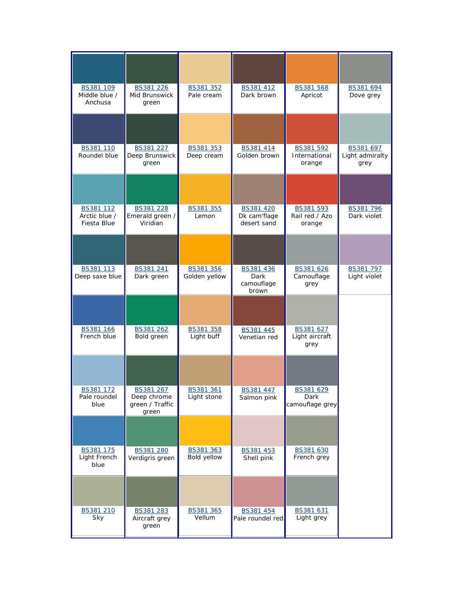| BS381 109<br>Middle blue /<br>Anchusa     | BS381 226<br>Mid Brunswick<br>green                  | BS381 352<br>Pale cream    | BS381 412<br>Dark brown                  | BS381 568<br>Apricot                  | BS381 694<br>Dove grey               |
|-------------------------------------------|------------------------------------------------------|----------------------------|------------------------------------------|---------------------------------------|--------------------------------------|
|                                           |                                                      |                            |                                          |                                       |                                      |
| BS381 110<br>Roundel blue                 | BS381 227<br>Deep Brunswick<br>green                 | BS381 353<br>Deep cream    | BS381 414<br>Golden brown                | BS381 592<br>International<br>orange  | BS381 697<br>Light admiralty<br>grey |
|                                           |                                                      |                            |                                          |                                       |                                      |
| BS381 112<br>Arctic blue /<br>Fiesta Blue | BS381 228<br>Emerald green /<br>Viridian             | BS381 355<br>Lemon         | BS381 420<br>Dk cam'flage<br>desert sand | BS381 593<br>Rail red / Azo<br>orange | BS381 796<br>Dark violet             |
|                                           |                                                      |                            |                                          |                                       |                                      |
| BS381 113<br>Deep saxe blue               | BS381 241<br>Dark green                              | BS381 356<br>Golden yellow | BS381 436<br>Dark<br>camouflage<br>brown | BS381 626<br>Camouflage<br>grey       | BS381 797<br>Light violet            |
|                                           |                                                      |                            |                                          |                                       |                                      |
| BS381 166<br>French blue                  | BS381 262<br>Bold green                              | BS381 358<br>Light buff    | BS381 445<br>Venetian red                | BS381 627<br>Light aircraft<br>grey   |                                      |
|                                           |                                                      |                            |                                          |                                       |                                      |
| BS381 172<br>Pale roundel<br>blue         | BS381 267<br>Deep chrome<br>green / Traffic<br>green | BS381 361<br>Light stone   | BS381 447<br>Salmon pink                 | BS381 629<br>Dark<br>camouflage grey  |                                      |
|                                           |                                                      |                            |                                          |                                       |                                      |
| BS381 175<br>Light French<br>blue         | BS381 280<br>Verdigris green                         | BS381 363<br>Bold yellow   | BS381 453<br>Shell pink                  | BS381 630<br>French grey              |                                      |
|                                           |                                                      |                            |                                          |                                       |                                      |
| BS381 210<br>Sky                          | BS381 283<br>Aircraft grey<br>green                  | BS381 365<br>Vellum        | BS381 454<br>Pale roundel red            | BS381 631<br>Light grey               |                                      |